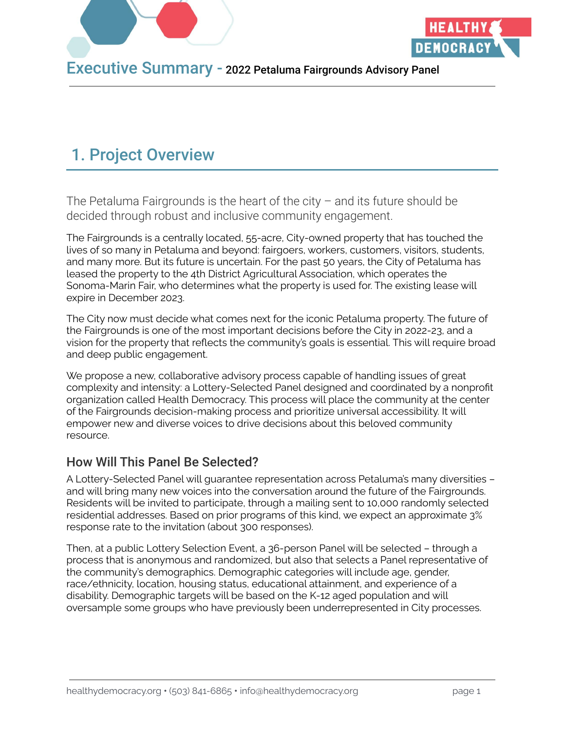

## 1. Project Overview

The Petaluma Fairgrounds is the heart of the city – and its future should be decided through robust and inclusive community engagement.

The Fairgrounds is a centrally located, 55-acre, City-owned property that has touched the lives of so many in Petaluma and beyond: fairgoers, workers, customers, visitors, students, and many more. But its future is uncertain. For the past 50 years, the City of Petaluma has leased the property to the 4th District Agricultural Association, which operates the Sonoma-Marin Fair, who determines what the property is used for. The existing lease will expire in December 2023.

The City now must decide what comes next for the iconic Petaluma property. The future of the Fairgrounds is one of the most important decisions before the City in 2022-23, and a vision for the property that reflects the community's goals is essential. This will require broad and deep public engagement.

We propose a new, collaborative advisory process capable of handling issues of great complexity and intensity: a Lottery-Selected Panel designed and coordinated by a nonprofit organization called Health Democracy. This process will place the community at the center of the Fairgrounds decision-making process and prioritize universal accessibility. It will empower new and diverse voices to drive decisions about this beloved community resource.

#### How Will This Panel Be Selected?

A Lottery-Selected Panel will guarantee representation across Petaluma's many diversities – and will bring many new voices into the conversation around the future of the Fairgrounds. Residents will be invited to participate, through a mailing sent to 10,000 randomly selected residential addresses. Based on prior programs of this kind, we expect an approximate 3% response rate to the invitation (about 300 responses).

Then, at a public Lottery Selection Event, a 36-person Panel will be selected – through a process that is anonymous and randomized, but also that selects a Panel representative of the community's demographics. Demographic categories will include age, gender, race/ethnicity, location, housing status, educational attainment, and experience of a disability. Demographic targets will be based on the K-12 aged population and will oversample some groups who have previously been underrepresented in City processes.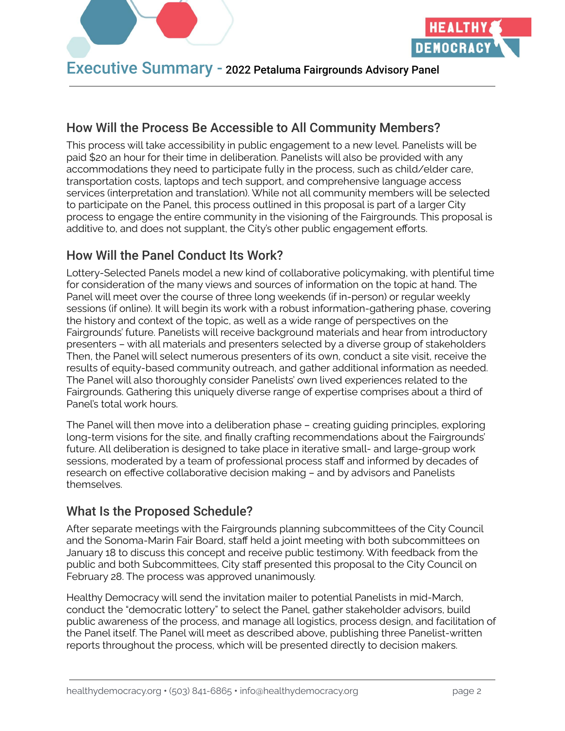

#### How Will the Process Be Accessible to All Community Members?

This process will take accessibility in public engagement to a new level. Panelists will be paid \$20 an hour for their time in deliberation. Panelists will also be provided with any accommodations they need to participate fully in the process, such as child/elder care, transportation costs, laptops and tech support, and comprehensive language access services (interpretation and translation). While not all community members will be selected to participate on the Panel, this process outlined in this proposal is part of a larger City process to engage the entire community in the visioning of the Fairgrounds. This proposal is additive to, and does not supplant, the City's other public engagement efforts.

### How Will the Panel Conduct Its Work?

Lottery-Selected Panels model a new kind of collaborative policymaking, with plentiful time for consideration of the many views and sources of information on the topic at hand. The Panel will meet over the course of three long weekends (if in-person) or regular weekly sessions (if online). It will begin its work with a robust information-gathering phase, covering the history and context of the topic, as well as a wide range of perspectives on the Fairgrounds' future. Panelists will receive background materials and hear from introductory presenters – with all materials and presenters selected by a diverse group of stakeholders Then, the Panel will select numerous presenters of its own, conduct a site visit, receive the results of equity-based community outreach, and gather additional information as needed. The Panel will also thoroughly consider Panelists' own lived experiences related to the Fairgrounds. Gathering this uniquely diverse range of expertise comprises about a third of Panel's total work hours.

The Panel will then move into a deliberation phase – creating guiding principles, exploring long-term visions for the site, and finally crafting recommendations about the Fairgrounds' future. All deliberation is designed to take place in iterative small- and large-group work sessions, moderated by a team of professional process staff and informed by decades of research on effective collaborative decision making – and by advisors and Panelists themselves.

#### What Is the Proposed Schedule?

After separate meetings with the Fairgrounds planning subcommittees of the City Council and the Sonoma-Marin Fair Board, staff held a joint meeting with both subcommittees on January 18 to discuss this concept and receive public testimony. With feedback from the public and both Subcommittees, City staff presented this proposal to the City Council on February 28. The process was approved unanimously.

Healthy Democracy will send the invitation mailer to potential Panelists in mid-March, conduct the "democratic lottery" to select the Panel, gather stakeholder advisors, build public awareness of the process, and manage all logistics, process design, and facilitation of the Panel itself. The Panel will meet as described above, publishing three Panelist-written reports throughout the process, which will be presented directly to decision makers.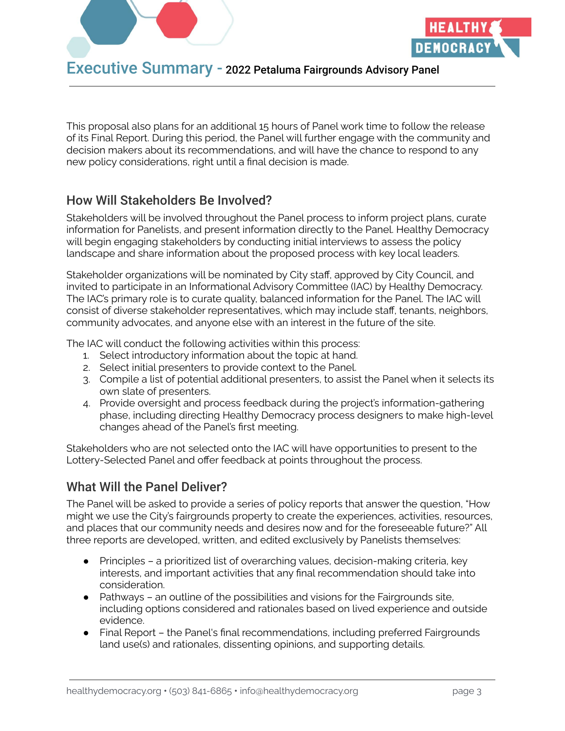

This proposal also plans for an additional 15 hours of Panel work time to follow the release of its Final Report. During this period, the Panel will further engage with the community and decision makers about its recommendations, and will have the chance to respond to any new policy considerations, right until a final decision is made.

#### How Will Stakeholders Be Involved?

Stakeholders will be involved throughout the Panel process to inform project plans, curate information for Panelists, and present information directly to the Panel. Healthy Democracy will begin engaging stakeholders by conducting initial interviews to assess the policy landscape and share information about the proposed process with key local leaders.

Stakeholder organizations will be nominated by City staff, approved by City Council, and invited to participate in an Informational Advisory Committee (IAC) by Healthy Democracy. The IAC's primary role is to curate quality, balanced information for the Panel. The IAC will consist of diverse stakeholder representatives, which may include staff, tenants, neighbors, community advocates, and anyone else with an interest in the future of the site.

The IAC will conduct the following activities within this process:

- 1. Select introductory information about the topic at hand.
- 2. Select initial presenters to provide context to the Panel.
- 3. Compile a list of potential additional presenters, to assist the Panel when it selects its own slate of presenters.
- 4. Provide oversight and process feedback during the project's information-gathering phase, including directing Healthy Democracy process designers to make high-level changes ahead of the Panel's first meeting.

Stakeholders who are not selected onto the IAC will have opportunities to present to the Lottery-Selected Panel and offer feedback at points throughout the process.

#### What Will the Panel Deliver?

The Panel will be asked to provide a series of policy reports that answer the question, "How might we use the City's fairgrounds property to create the experiences, activities, resources, and places that our community needs and desires now and for the foreseeable future?" All three reports are developed, written, and edited exclusively by Panelists themselves:

- Principles a prioritized list of overarching values, decision-making criteria, key interests, and important activities that any final recommendation should take into consideration.
- Pathways an outline of the possibilities and visions for the Fairgrounds site, including options considered and rationales based on lived experience and outside evidence.
- Final Report the Panel's final recommendations, including preferred Fairgrounds land use(s) and rationales, dissenting opinions, and supporting details.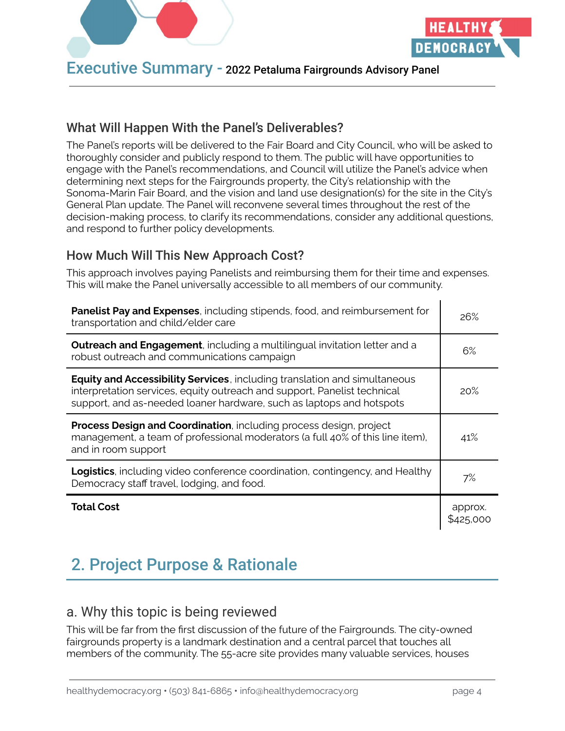

#### What Will Happen With the Panel's Deliverables?

The Panel's reports will be delivered to the Fair Board and City Council, who will be asked to thoroughly consider and publicly respond to them. The public will have opportunities to engage with the Panel's recommendations, and Council will utilize the Panel's advice when determining next steps for the Fairgrounds property, the City's relationship with the Sonoma-Marin Fair Board, and the vision and land use designation(s) for the site in the City's General Plan update. The Panel will reconvene several times throughout the rest of the decision-making process, to clarify its recommendations, consider any additional questions, and respond to further policy developments.

#### How Much Will This New Approach Cost?

This approach involves paying Panelists and reimbursing them for their time and expenses. This will make the Panel universally accessible to all members of our community.

| Panelist Pay and Expenses, including stipends, food, and reimbursement for<br>transportation and child/elder care                                                                                                                     | 26%                  |
|---------------------------------------------------------------------------------------------------------------------------------------------------------------------------------------------------------------------------------------|----------------------|
| <b>Outreach and Engagement</b> , including a multilingual invitation letter and a<br>robust outreach and communications campaign                                                                                                      | 6%                   |
| <b>Equity and Accessibility Services</b> , including translation and simultaneous<br>interpretation services, equity outreach and support, Panelist technical<br>support, and as-needed loaner hardware, such as laptops and hotspots | 20%                  |
| Process Design and Coordination, including process design, project<br>management, a team of professional moderators (a full 40% of this line item),<br>and in room support                                                            | 41%                  |
| <b>Logistics</b> , including video conference coordination, contingency, and Healthy<br>Democracy staff travel, lodging, and food.                                                                                                    | 7%                   |
| <b>Total Cost</b>                                                                                                                                                                                                                     | approx.<br>\$425.000 |

# 2. Project Purpose & Rationale

## a. Why this topic is being reviewed

This will be far from the first discussion of the future of the Fairgrounds. The city-owned fairgrounds property is a landmark destination and a central parcel that touches all members of the community. The 55-acre site provides many valuable services, houses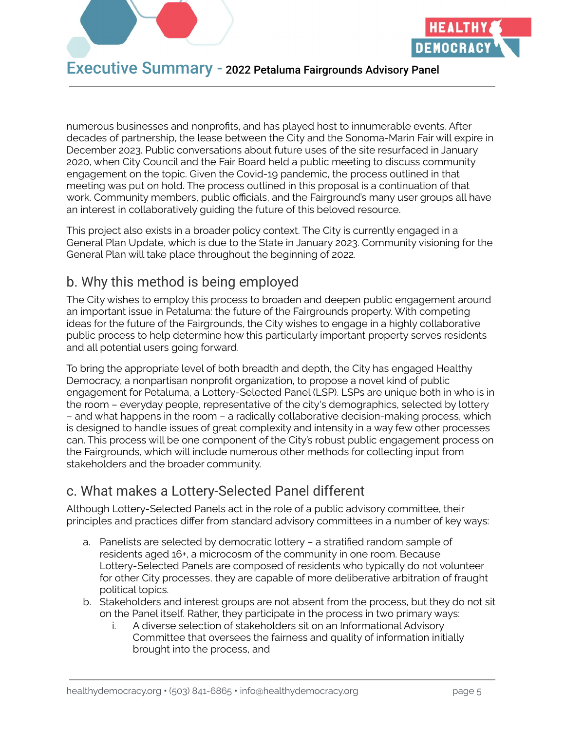

numerous businesses and nonprofits, and has played host to innumerable events. After decades of partnership, the lease between the City and the Sonoma-Marin Fair will expire in December 2023. Public conversations about future uses of the site resurfaced in January 2020, when City Council and the Fair Board held a public meeting to discuss community engagement on the topic. Given the Covid-19 pandemic, the process outlined in that meeting was put on hold. The process outlined in this proposal is a continuation of that work. Community members, public officials, and the Fairground's many user groups all have an interest in collaboratively guiding the future of this beloved resource.

This project also exists in a broader policy context. The City is currently engaged in a General Plan Update, which is due to the State in January 2023. Community visioning for the General Plan will take place throughout the beginning of 2022.

## b. Why this method is being employed

The City wishes to employ this process to broaden and deepen public engagement around an important issue in Petaluma: the future of the Fairgrounds property. With competing ideas for the future of the Fairgrounds, the City wishes to engage in a highly collaborative public process to help determine how this particularly important property serves residents and all potential users going forward.

To bring the appropriate level of both breadth and depth, the City has engaged Healthy Democracy, a nonpartisan nonprofit organization, to propose a novel kind of public engagement for Petaluma, a Lottery-Selected Panel (LSP). LSPs are unique both in who is in the room – everyday people, representative of the city's demographics, selected by lottery – and what happens in the room – a radically collaborative decision-making process, which is designed to handle issues of great complexity and intensity in a way few other processes can. This process will be one component of the City's robust public engagement process on the Fairgrounds, which will include numerous other methods for collecting input from stakeholders and the broader community.

## c. What makes a Lottery-Selected Panel different

Although Lottery-Selected Panels act in the role of a public advisory committee, their principles and practices differ from standard advisory committees in a number of key ways:

- a. Panelists are selected by democratic lottery a stratified random sample of residents aged 16+, a microcosm of the community in one room. Because Lottery-Selected Panels are composed of residents who typically do not volunteer for other City processes, they are capable of more deliberative arbitration of fraught political topics.
- b. Stakeholders and interest groups are not absent from the process, but they do not sit on the Panel itself. Rather, they participate in the process in two primary ways:
	- i. A diverse selection of stakeholders sit on an Informational Advisory Committee that oversees the fairness and quality of information initially brought into the process, and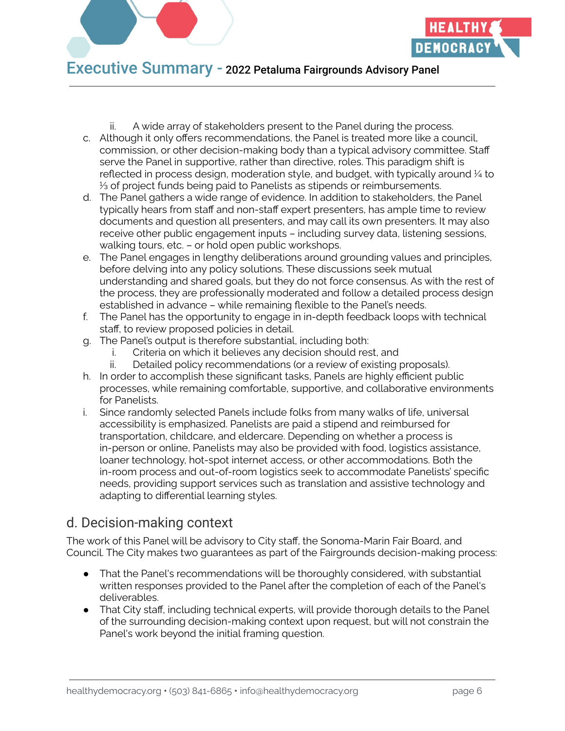

ii. A wide array of stakeholders present to the Panel during the process.

- c. Although it only offers recommendations, the Panel is treated more like a council, commission, or other decision-making body than a typical advisory committee. Staff serve the Panel in supportive, rather than directive, roles. This paradigm shift is reflected in process design, moderation style, and budget, with typically around 1/4 to ⅓ of project funds being paid to Panelists as stipends or reimbursements.
- d. The Panel gathers a wide range of evidence. In addition to stakeholders, the Panel typically hears from staff and non-staff expert presenters, has ample time to review documents and question all presenters, and may call its own presenters. It may also receive other public engagement inputs – including survey data, listening sessions, walking tours, etc. – or hold open public workshops.
- e. The Panel engages in lengthy deliberations around grounding values and principles, before delving into any policy solutions. These discussions seek mutual understanding and shared goals, but they do not force consensus. As with the rest of the process, they are professionally moderated and follow a detailed process design established in advance – while remaining flexible to the Panel's needs.
- f. The Panel has the opportunity to engage in in-depth feedback loops with technical staff, to review proposed policies in detail.
- g. The Panel's output is therefore substantial, including both:
	- i. Criteria on which it believes any decision should rest, and
	- ii. Detailed policy recommendations (or a review of existing proposals).
- h. In order to accomplish these significant tasks, Panels are highly efficient public processes, while remaining comfortable, supportive, and collaborative environments for Panelists.
- i. Since randomly selected Panels include folks from many walks of life, universal accessibility is emphasized. Panelists are paid a stipend and reimbursed for transportation, childcare, and eldercare. Depending on whether a process is in-person or online, Panelists may also be provided with food, logistics assistance, loaner technology, hot-spot internet access, or other accommodations. Both the in-room process and out-of-room logistics seek to accommodate Panelists' specific needs, providing support services such as translation and assistive technology and adapting to differential learning styles.

## d. Decision-making context

The work of this Panel will be advisory to City staff, the Sonoma-Marin Fair Board, and Council. The City makes two guarantees as part of the Fairgrounds decision-making process:

- That the Panel's recommendations will be thoroughly considered, with substantial written responses provided to the Panel after the completion of each of the Panel's deliverables.
- That City staff, including technical experts, will provide thorough details to the Panel of the surrounding decision-making context upon request, but will not constrain the Panel's work beyond the initial framing question.

**DEMOCRACY**